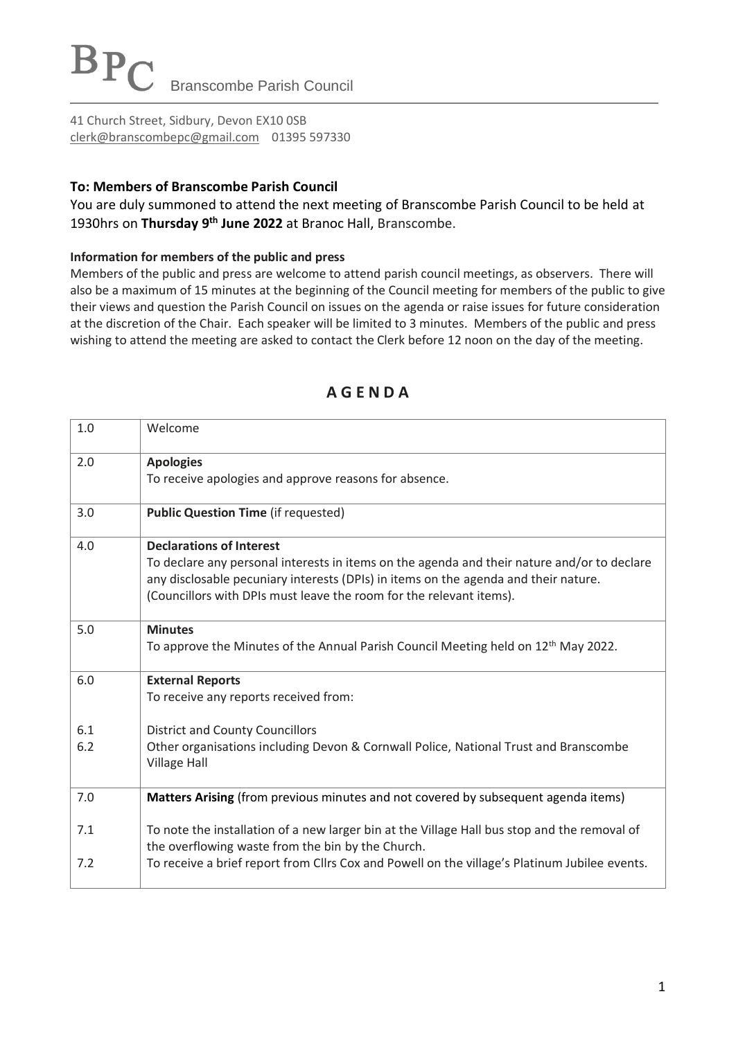41 Church Street, Sidbury, Devon EX10 0SB [clerk@branscombepc@gmail.com](mailto:clerk@branscombepc@gmail.com) 01395 597330

### **To: Members of Branscombe Parish Council**

You are duly summoned to attend the next meeting of Branscombe Parish Council to be held at 1930hrs on **Thursday 9 th June 2022** at Branoc Hall, Branscombe.

#### **Information for members of the public and press**

Members of the public and press are welcome to attend parish council meetings, as observers. There will also be a maximum of 15 minutes at the beginning of the Council meeting for members of the public to give their views and question the Parish Council on issues on the agenda or raise issues for future consideration at the discretion of the Chair. Each speaker will be limited to 3 minutes. Members of the public and press wishing to attend the meeting are asked to contact the Clerk before 12 noon on the day of the meeting.

| 1.0        | Welcome                                                                                                                                                                                                                                                                                      |
|------------|----------------------------------------------------------------------------------------------------------------------------------------------------------------------------------------------------------------------------------------------------------------------------------------------|
| 2.0        | <b>Apologies</b><br>To receive apologies and approve reasons for absence.                                                                                                                                                                                                                    |
| 3.0        | <b>Public Question Time (if requested)</b>                                                                                                                                                                                                                                                   |
| 4.0        | <b>Declarations of Interest</b><br>To declare any personal interests in items on the agenda and their nature and/or to declare<br>any disclosable pecuniary interests (DPIs) in items on the agenda and their nature.<br>(Councillors with DPIs must leave the room for the relevant items). |
| 5.0        | <b>Minutes</b><br>To approve the Minutes of the Annual Parish Council Meeting held on 12 <sup>th</sup> May 2022.                                                                                                                                                                             |
| 6.0        | <b>External Reports</b><br>To receive any reports received from:                                                                                                                                                                                                                             |
| 6.1<br>6.2 | <b>District and County Councillors</b><br>Other organisations including Devon & Cornwall Police, National Trust and Branscombe<br><b>Village Hall</b>                                                                                                                                        |
| 7.0        | Matters Arising (from previous minutes and not covered by subsequent agenda items)                                                                                                                                                                                                           |
| 7.1        | To note the installation of a new larger bin at the Village Hall bus stop and the removal of<br>the overflowing waste from the bin by the Church.                                                                                                                                            |
| 7.2        | To receive a brief report from Cllrs Cox and Powell on the village's Platinum Jubilee events.                                                                                                                                                                                                |

## **A G E N D A**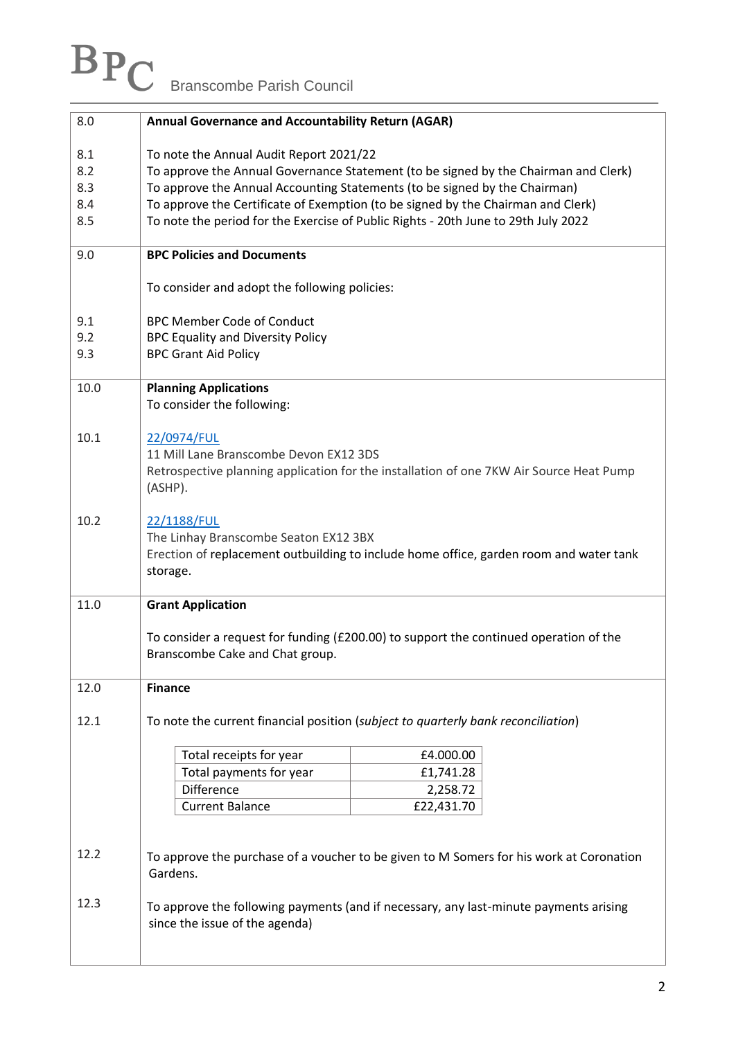# Branscombe Parish Council

| 8.0                             | <b>Annual Governance and Accountability Return (AGAR)</b>                                                                                                                                                                                                                                                                                                                              |  |  |  |  |  |  |
|---------------------------------|----------------------------------------------------------------------------------------------------------------------------------------------------------------------------------------------------------------------------------------------------------------------------------------------------------------------------------------------------------------------------------------|--|--|--|--|--|--|
| 8.1<br>8.2<br>8.3<br>8.4<br>8.5 | To note the Annual Audit Report 2021/22<br>To approve the Annual Governance Statement (to be signed by the Chairman and Clerk)<br>To approve the Annual Accounting Statements (to be signed by the Chairman)<br>To approve the Certificate of Exemption (to be signed by the Chairman and Clerk)<br>To note the period for the Exercise of Public Rights - 20th June to 29th July 2022 |  |  |  |  |  |  |
| 9.0                             | <b>BPC Policies and Documents</b>                                                                                                                                                                                                                                                                                                                                                      |  |  |  |  |  |  |
|                                 | To consider and adopt the following policies:                                                                                                                                                                                                                                                                                                                                          |  |  |  |  |  |  |
| 9.1<br>9.2<br>9.3               | <b>BPC Member Code of Conduct</b><br><b>BPC Equality and Diversity Policy</b><br><b>BPC Grant Aid Policy</b>                                                                                                                                                                                                                                                                           |  |  |  |  |  |  |
| 10.0                            | <b>Planning Applications</b><br>To consider the following:                                                                                                                                                                                                                                                                                                                             |  |  |  |  |  |  |
| 10.1                            | 22/0974/FUL<br>11 Mill Lane Branscombe Devon EX12 3DS<br>Retrospective planning application for the installation of one 7KW Air Source Heat Pump<br>(ASHP).                                                                                                                                                                                                                            |  |  |  |  |  |  |
| 10.2                            | 22/1188/FUL<br>The Linhay Branscombe Seaton EX12 3BX<br>Erection of replacement outbuilding to include home office, garden room and water tank<br>storage.                                                                                                                                                                                                                             |  |  |  |  |  |  |
| 11.0                            | <b>Grant Application</b>                                                                                                                                                                                                                                                                                                                                                               |  |  |  |  |  |  |
|                                 | To consider a request for funding (£200.00) to support the continued operation of the<br>Branscombe Cake and Chat group.                                                                                                                                                                                                                                                               |  |  |  |  |  |  |
| 12.0                            | <b>Finance</b>                                                                                                                                                                                                                                                                                                                                                                         |  |  |  |  |  |  |
| 12.1                            | To note the current financial position (subject to quarterly bank reconciliation)                                                                                                                                                                                                                                                                                                      |  |  |  |  |  |  |
|                                 | Total receipts for year<br>£4.000.00<br>Total payments for year                                                                                                                                                                                                                                                                                                                        |  |  |  |  |  |  |
|                                 | £1,741.28<br><b>Difference</b><br>2,258.72                                                                                                                                                                                                                                                                                                                                             |  |  |  |  |  |  |
|                                 | <b>Current Balance</b><br>£22,431.70                                                                                                                                                                                                                                                                                                                                                   |  |  |  |  |  |  |
| 12.2                            | To approve the purchase of a voucher to be given to M Somers for his work at Coronation<br>Gardens.                                                                                                                                                                                                                                                                                    |  |  |  |  |  |  |
| 12.3                            | To approve the following payments (and if necessary, any last-minute payments arising<br>since the issue of the agenda)                                                                                                                                                                                                                                                                |  |  |  |  |  |  |